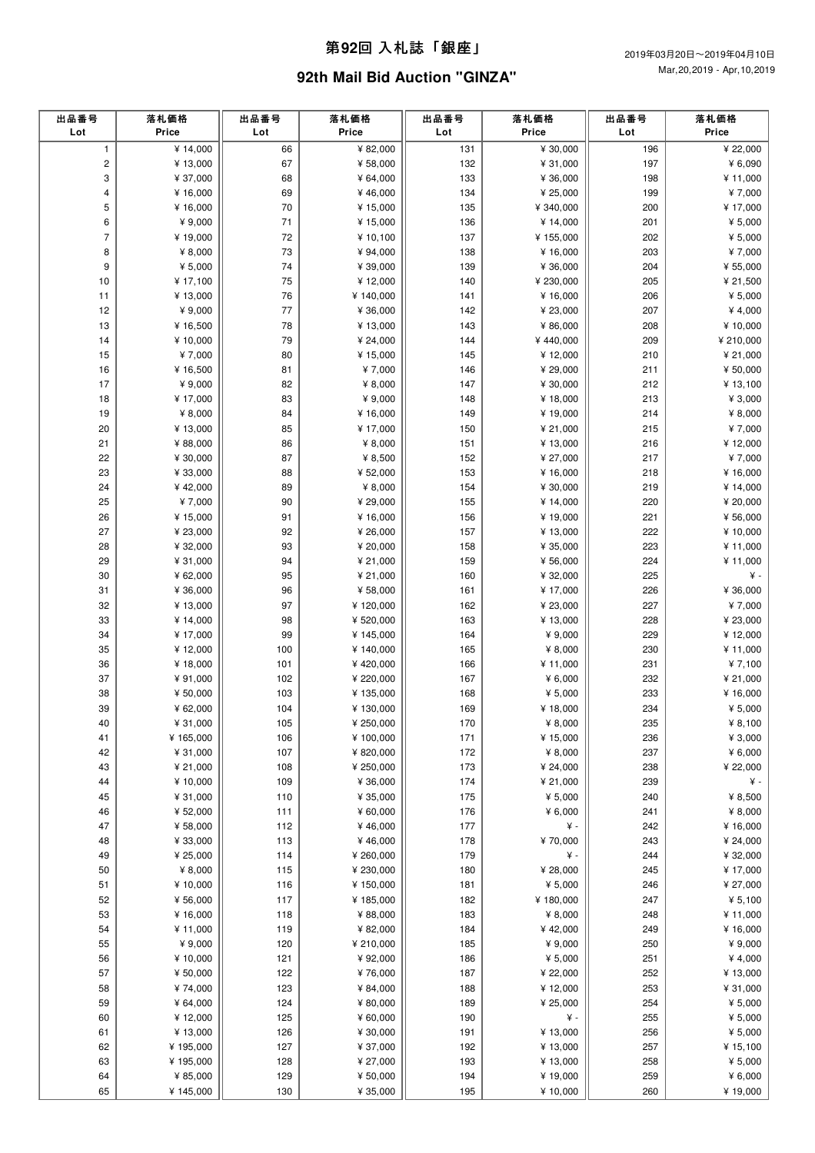### 第**92**回 ⼊札誌「銀座」

# **92th Mail Bid Auction "GINZA"**

| 出品番号<br>Lot  | 落札価格<br>Price | 出品番号<br>Lot | 落札価格<br>Price | 出品番号<br>Lot | 落札価格<br>Price | 出品番号<br>Lot | 落札価格<br>Price |
|--------------|---------------|-------------|---------------|-------------|---------------|-------------|---------------|
| $\mathbf{1}$ | ¥ 14,000      | 66          | ¥ 82,000      | 131         | ¥ 30,000      | 196         | ¥ 22,000      |
| $\mathbf 2$  | ¥ 13,000      | 67          | ¥ 58,000      | 132         | ¥ 31,000      | 197         | ¥ 6,090       |
| 3            | ¥ 37,000      | 68          | ¥ 64,000      | 133         | ¥ 36,000      | 198         | ¥ 11,000      |
| 4            | ¥ 16,000      | 69          | ¥46,000       | 134         | ¥ 25,000      | 199         | ¥7,000        |
| 5            | ¥ 16,000      | 70          | ¥ 15,000      | 135         | ¥ 340,000     | 200         | ¥17,000       |
| 6            | ¥ 9,000       | 71          | ¥ 15,000      | 136         | ¥ 14,000      | 201         | ¥ $5,000$     |
| 7            | ¥19,000       | 72          | ¥ 10,100      | 137         | ¥155,000      | 202         | ¥ $5,000$     |
| 8            | ¥ $8,000$     | 73          | ¥ 94,000      | 138         | ¥ 16,000      | 203         | ¥7,000        |
| 9            | ¥ $5,000$     | 74          | ¥ 39,000      | 139         | ¥ 36,000      | 204         | ¥ 55,000      |
| 10           | ¥ 17,100      | 75          | ¥12,000       | 140         | ¥ 230,000     | 205         | ¥ 21,500      |
| 11           | ¥13,000       | 76          | ¥ 140,000     | 141         | ¥ 16,000      | 206         | ¥ $5,000$     |
| 12           | ¥9,000        | 77          | ¥ 36,000      | 142         | ¥ 23,000      | 207         | ¥ 4,000       |
| 13           | ¥ 16,500      | 78          | ¥13,000       | 143         | ¥ 86,000      | 208         | ¥ 10,000      |
| 14           | ¥ 10,000      | 79          | ¥ 24,000      | 144         | ¥440,000      | 209         | ¥ 210,000     |
| 15           | ¥7,000        | 80          | ¥15,000       | 145         | ¥12,000       | 210         | ¥ 21,000      |
| 16           | ¥16,500       | 81          | ¥7,000        | 146         | ¥ 29,000      | 211         | ¥ 50,000      |
| 17           | ¥9,000        | 82          | ¥ $8,000$     | 147         | ¥ 30,000      | 212         | ¥ 13,100      |
| 18           | ¥ 17,000      | 83          | ¥ 9,000       | 148         | ¥ 18,000      | 213         | ¥ $3,000$     |
| 19           | ¥ 8,000       | 84          | ¥ 16,000      | 149         | ¥ 19,000      | 214         | ¥ $8,000$     |
| 20           | ¥ 13,000      | 85          | ¥ 17,000      | 150         | ¥ 21,000      | 215         | ¥7,000        |
| 21           | ¥ 88,000      | 86          | ¥ 8,000       | 151         | ¥ 13,000      | 216         | ¥12,000       |
| 22           | ¥ 30,000      | 87          | ¥ 8,500       | 152         | ¥ 27,000      | 217         | ¥7,000        |
| 23           | ¥ 33,000      | 88          | ¥ 52,000      | 153         | ¥16,000       | 218         | ¥ 16,000      |
| 24           | ¥42,000       | 89          | ¥ $8,000$     | 154         | ¥ 30,000      | 219         | ¥ 14,000      |
| 25           | ¥7,000        | 90          | ¥ 29,000      | 155         | ¥ 14,000      | 220         | ¥ 20,000      |
| 26           | ¥ 15,000      | 91          | ¥ 16,000      | 156         | ¥ 19,000      | 221         | ¥ 56,000      |
| 27           | ¥ 23,000      | 92          | ¥ 26,000      | 157         | ¥ 13,000      | 222         | ¥ 10,000      |
| 28           | ¥ 32,000      | 93          | ¥ 20,000      | 158         | ¥ 35,000      | 223         | ¥11,000       |
| 29           | ¥ 31,000      | 94          | ¥ 21,000      | 159         | ¥ 56,000      | 224         | ¥11,000       |
| 30           | ¥ 62,000      | 95          | ¥ 21,000      | 160         | ¥ 32,000      | 225         | ¥ -           |
| 31           | ¥ 36,000      | 96          | ¥ 58,000      | 161         | ¥ 17,000      | 226         | ¥ 36,000      |
| 32           | ¥13,000       | 97          | ¥120,000      | 162         | ¥ 23,000      | 227         | ¥7,000        |
| 33           | ¥14,000       | 98          | ¥ 520,000     | 163         | ¥ 13,000      | 228         | ¥ 23,000      |
| 34           | ¥ 17,000      | 99          | ¥ 145,000     | 164         | ¥ 9,000       | 229         | ¥12,000       |
| 35           | ¥12,000       | 100         | ¥ 140,000     | 165         | ¥ $8,000$     | 230         | ¥ 11,000      |
| 36           | ¥18,000       | 101         | ¥420,000      | 166         | ¥ 11,000      | 231         | ¥7,100        |
| 37           | ¥ 91,000      | 102         | ¥ 220,000     | 167         | ¥ $6,000$     | 232         | ¥ 21,000      |
| 38           | ¥ 50,000      | 103         | ¥ 135,000     | 168         | ¥ $5,000$     | 233         | ¥16,000       |
| 39           | ¥ 62,000      | 104         | ¥ 130,000     | 169         | ¥ 18,000      | 234         | ¥ 5,000       |
| 40           | ¥ 31,000      | 105         | ¥ 250,000     | 170         | ¥ $8.000$     | 235         | ¥ 8.100       |
| 41           | ¥ 165,000     | 106         | ¥ 100,000     | 171         | ¥ 15,000      | 236         | ¥ 3,000       |
| 42           | ¥ 31,000      | 107         | ¥ 820,000     | 172         | ¥ 8,000       | 237         | 46,000        |
| 43           | ¥ 21,000      | 108         | ¥ 250,000     | 173         | ¥ 24,000      | 238         | ¥ 22,000      |
| 44           | ¥ 10,000      | 109         | ¥ 36,000      | 174         | ¥ 21,000      | 239         | ¥ -           |
| 45           | ¥ 31,000      | 110         | ¥ 35,000      | 175         | ¥ $5,000$     | 240         | ¥ 8,500       |
| 46           | ¥ 52,000      | 111         | ¥ 60,000      | 176         | ¥ $6,000$     | 241         | ¥ $8,000$     |
| 47           | ¥ 58,000      | 112         | ¥46,000       | 177         | ¥ -           | 242         | ¥ 16,000      |
| 48           | ¥ 33,000      | 113         | ¥46,000       | 178         | ¥70,000       | 243         | ¥ 24,000      |
| 49           | ¥ 25,000      | 114         | ¥ 260,000     | 179         | ¥ -           | 244         | ¥ 32,000      |
| 50           | ¥ 8,000       | 115         | ¥ 230,000     | 180         | ¥ 28,000      | 245         | ¥ 17,000      |
| 51           | ¥ 10,000      | 116         | ¥ 150,000     | 181         | ¥ $5,000$     | 246         | ¥ 27,000      |
| 52           | ¥ 56,000      | $117$       | ¥ 185,000     | 182         | ¥180,000      | 247         | ¥ 5,100       |
| 53           | ¥ 16,000      | 118         | ¥ 88,000      | 183         | ¥ $8,000$     | 248         | ¥11,000       |
| 54           | ¥ 11,000      | 119         | ¥ 82,000      | 184         | ¥42,000       | 249         | ¥ 16,000      |
| 55           | ¥ 9,000       | 120         | ¥ 210,000     | 185         | ¥ 9,000       | 250         | ¥ $9,000$     |
| 56           | ¥ 10,000      | 121         | ¥ 92,000      | 186         | ¥ 5,000       | 251         | ¥ 4,000       |
| 57           | ¥ 50,000      | 122         | ¥76,000       | 187         | ¥ 22,000      | 252         | ¥ 13,000      |
| 58           | ¥74,000       | 123         | ¥ 84,000      | 188         | ¥12,000       | 253         | ¥ 31,000      |
| 59           | ¥ 64,000      | 124         | ¥ 80,000      | 189         | ¥ 25,000      | 254         | ¥ $5,000$     |
| 60           | ¥12,000       | 125         | ¥ 60,000      | 190         | ¥ -           | 255         | ¥ $5,000$     |
| 61           | ¥13,000       | 126         | ¥ 30,000      | 191         | ¥ 13,000      | 256         | ¥ $5,000$     |
| 62           | ¥195,000      | 127         | ¥ 37,000      | 192         | ¥ 13,000      | 257         | ¥15,100       |
| 63           | ¥195,000      | 128         | ¥ 27,000      | 193         | ¥ 13,000      | 258         | ¥ 5,000       |
| 64           | ¥ 85,000      | 129         | ¥ 50,000      | 194         | ¥ 19,000      | 259         | ¥ 6,000       |
| 65           | ¥145,000      | 130         | ¥ 35,000      | 195         | ¥10,000       | 260         | ¥ 19,000      |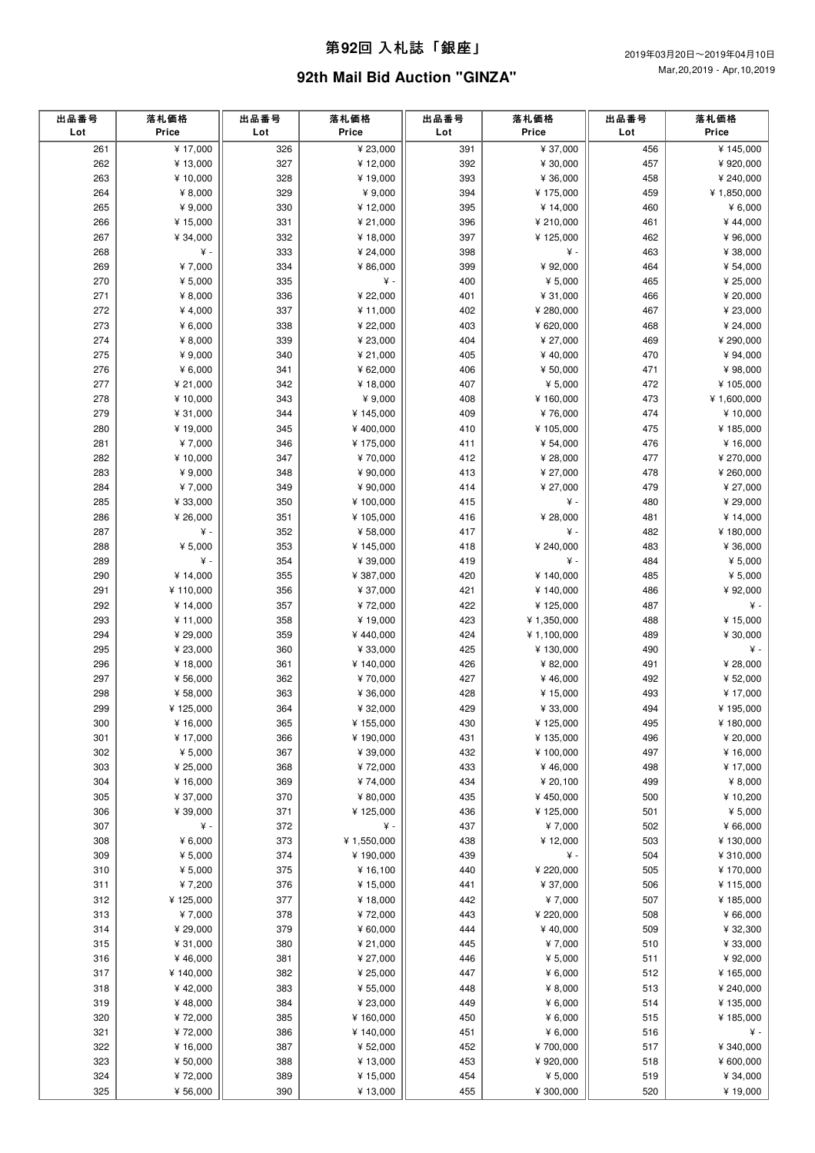### 第**92**回 ⼊札誌「銀座」

# **92th Mail Bid Auction "GINZA"**

| ¥ 17,000<br>¥ 23,000<br>¥ 37,000<br>326<br>391<br>456<br>¥145,000<br>261<br>327<br>392<br>262<br>¥ 13,000<br>¥12,000<br>¥ 30,000<br>457<br>¥ 920,000<br>263<br>¥10,000<br>328<br>¥ 19,000<br>393<br>¥ 36,000<br>458<br>¥ 240,000<br>394<br>264<br>¥ $8,000$<br>329<br>¥ 9,000<br>¥175,000<br>459<br>¥ 1,850,000<br>395<br>265<br>¥ 9,000<br>330<br>¥12,000<br>¥ 14,000<br>460<br>¥ $6,000$<br>266<br>¥ 15,000<br>331<br>¥ 21,000<br>396<br>¥ 210,000<br>461<br>¥44,000<br>267<br>397<br>¥ 34,000<br>332<br>¥ 18,000<br>¥125,000<br>462<br>¥96,000<br>¥ -<br>268<br>333<br>¥ 24,000<br>398<br>¥ -<br>463<br>¥ 38,000<br>269<br>¥7,000<br>334<br>¥ 86,000<br>399<br>¥ 92,000<br>464<br>¥ 54,000<br>$\yen$ -<br>270<br>¥ 5,000<br>335<br>400<br>¥ $5,000$<br>465<br>¥ 25,000<br>271<br>¥ 22,000<br>¥ 8,000<br>336<br>401<br>¥ 31,000<br>466<br>¥ 20,000<br>272<br>¥ 4,000<br>337<br>¥ 11,000<br>402<br>¥ 280,000<br>467<br>¥ 23,000<br>273<br>¥ $6,000$<br>338<br>¥ 22,000<br>403<br>468<br>¥ 24,000<br>¥ 620,000<br>339<br>274<br>¥ $8,000$<br>¥ 23,000<br>404<br>¥ 27,000<br>469<br>¥ 290,000<br>275<br>¥ 9,000<br>340<br>¥ 21,000<br>405<br>¥40,000<br>470<br>¥ 94,000<br>276<br>¥ $6,000$<br>341<br>¥ 62,000<br>406<br>¥ 50,000<br>471<br>¥ 98,000<br>407<br>277<br>¥ 21,000<br>342<br>¥18,000<br>¥ 5,000<br>472<br>¥ 105,000<br>278<br>408<br>¥ 10,000<br>343<br>¥ 9,000<br>¥160,000<br>473<br>¥ 1,600,000<br>279<br>409<br>¥ 31,000<br>344<br>¥ 145,000<br>¥76,000<br>474<br>¥ 10,000<br>280<br>¥19,000<br>345<br>¥400,000<br>410<br>¥105,000<br>475<br>¥185,000<br>281<br>¥7,000<br>346<br>¥ 175,000<br>411<br>¥ 54,000<br>476<br>¥16,000<br>282<br>¥ 10,000<br>347<br>¥70,000<br>412<br>¥ 28,000<br>477<br>¥ 270,000<br>283<br>¥ 9,000<br>348<br>¥ 90,000<br>413<br>¥ 27,000<br>478<br>¥ 260,000<br>349<br>479<br>284<br>¥7,000<br>¥ 90,000<br>414<br>¥ 27,000<br>¥ 27,000<br>¥ -<br>285<br>¥ 33,000<br>350<br>¥ 100,000<br>415<br>480<br>¥ 29,000<br>286<br>¥ 26,000<br>351<br>¥ 105,000<br>416<br>¥ 28,000<br>481<br>¥ 14,000<br>287<br>¥ -<br>352<br>¥ 58,000<br>417<br>¥ -<br>482<br>¥180,000<br>353<br>288<br>¥ $5,000$<br>¥ 145,000<br>418<br>¥ 240,000<br>483<br>¥ 36,000<br>419<br>289<br>¥ -<br>354<br>¥ 39,000<br>¥ -<br>484<br>¥ $5,000$<br>¥ 5,000<br>290<br>¥ 14,000<br>355<br>¥ 387,000<br>420<br>¥ 140,000<br>485<br>291<br>¥110,000<br>356<br>¥ 37,000<br>421<br>486<br>¥ 92,000<br>¥140,000<br>357<br>292<br>¥72,000<br>422<br>487<br>¥ -<br>¥14,000<br>¥125,000<br>293<br>¥ 11,000<br>358<br>¥ 19,000<br>423<br>¥ 1,350,000<br>488<br>¥ 15,000<br>294<br>¥ 29,000<br>359<br>¥440,000<br>424<br>¥ 1,100,000<br>489<br>¥ 30,000<br>295<br>¥ -<br>¥ 23,000<br>360<br>¥ 33,000<br>425<br>¥130,000<br>490<br>296<br>¥18,000<br>361<br>¥ 140,000<br>426<br>¥ 82,000<br>491<br>¥ 28,000<br>297<br>¥ 56,000<br>362<br>¥70,000<br>427<br>¥ 52,000<br>¥46,000<br>492<br>363<br>298<br>¥ 58,000<br>¥ 36,000<br>428<br>¥ 15,000<br>493<br>¥ 17,000<br>429<br>299<br>¥125,000<br>364<br>¥ 32,000<br>¥ 33,000<br>494<br>¥195,000<br>365<br>300<br>¥ 16,000<br>¥ 155,000<br>430<br>¥125,000<br>495<br>¥ 180,000<br>301<br>¥ 17,000<br>366<br>¥ 190,000<br>431<br>¥135,000<br>496<br>¥ 20,000<br>302<br>¥ $5,000$<br>367<br>¥ 39,000<br>432<br>¥100,000<br>¥ 16,000<br>497<br>433<br>303<br>¥ 25,000<br>368<br>¥72,000<br>¥46,000<br>498<br>¥ 17,000<br>304<br>¥ 16,000<br>¥74,000<br>434<br>¥ 20,100<br>499<br>¥ $8,000$<br>369<br>305<br>¥ 37,000<br>370<br>¥ 80,000<br>435<br>¥450,000<br>500<br>¥10,200<br>¥ 39,000<br>371<br>¥ 125,000<br>¥ $5,000$<br>306<br>436<br>¥125,000<br>501<br>307<br>¥ -<br>372<br>¥ -<br>437<br>¥7,000<br>502<br>¥ 66,000<br>373<br>¥ 1,550,000<br>308<br>¥ $6,000$<br>438<br>¥12,000<br>503<br>¥130,000<br>¥ -<br>309<br>¥ $5,000$<br>374<br>¥ 190,000<br>439<br>504<br>¥ 310,000<br>¥ $5,000$<br>375<br>¥ 16,100<br>440<br>¥ 220,000<br>¥170,000<br>310<br>505<br>311<br>¥7,200<br>376<br>¥15,000<br>¥ 37,000<br>¥115,000<br>441<br>506<br>377<br>312<br>¥125,000<br>¥ 18,000<br>442<br>¥7,000<br>507<br>¥185,000<br>313<br>¥7,000<br>378<br>¥72,000<br>443<br>¥ 220,000<br>508<br>¥ 66,000<br>314<br>¥ 29,000<br>379<br>¥ 60,000<br>444<br>¥40,000<br>509<br>¥ 32,300<br>315<br>¥ 31,000<br>¥ 21,000<br>445<br>¥7,000<br>¥ 33,000<br>380<br>510<br>¥ 92,000<br>316<br>¥46,000<br>381<br>¥ 27,000<br>446<br>¥ 5,000<br>511<br>317<br>¥140,000<br>382<br>¥ 25,000<br>447<br>¥ $6,000$<br>512<br>¥165,000<br>318<br>¥42,000<br>383<br>¥ 55,000<br>448<br>¥ $8,000$<br>513<br>¥ 240,000<br>319<br>¥48,000<br>384<br>¥ 23,000<br>449<br>¥ $6,000$<br>514<br>¥135,000<br>320<br>¥72,000<br>385<br>¥ 160,000<br>450<br>¥ $6,000$<br>¥185,000<br>515<br>¥72,000<br>386<br>451<br>¥ $6,000$<br>321<br>¥140,000<br>516<br>¥ -<br>322<br>¥ 16,000<br>387<br>¥ 52,000<br>452<br>¥700,000<br>517<br>¥ 340,000<br>323<br>¥ 50,000<br>388<br>¥ 13,000<br>453<br>¥920,000<br>¥ 600,000<br>518<br>324<br>¥72,000<br>389<br>¥15,000<br>454<br>¥ $5,000$<br>519<br>¥ 34,000 | 出品番号<br>Lot | 落札価格<br>Price | 出品番号<br>Lot | 落札価格<br>Price | 出品番号<br>Lot | 落札価格<br>Price | 出品番号<br>Lot | 落札価格<br>Price |
|----------------------------------------------------------------------------------------------------------------------------------------------------------------------------------------------------------------------------------------------------------------------------------------------------------------------------------------------------------------------------------------------------------------------------------------------------------------------------------------------------------------------------------------------------------------------------------------------------------------------------------------------------------------------------------------------------------------------------------------------------------------------------------------------------------------------------------------------------------------------------------------------------------------------------------------------------------------------------------------------------------------------------------------------------------------------------------------------------------------------------------------------------------------------------------------------------------------------------------------------------------------------------------------------------------------------------------------------------------------------------------------------------------------------------------------------------------------------------------------------------------------------------------------------------------------------------------------------------------------------------------------------------------------------------------------------------------------------------------------------------------------------------------------------------------------------------------------------------------------------------------------------------------------------------------------------------------------------------------------------------------------------------------------------------------------------------------------------------------------------------------------------------------------------------------------------------------------------------------------------------------------------------------------------------------------------------------------------------------------------------------------------------------------------------------------------------------------------------------------------------------------------------------------------------------------------------------------------------------------------------------------------------------------------------------------------------------------------------------------------------------------------------------------------------------------------------------------------------------------------------------------------------------------------------------------------------------------------------------------------------------------------------------------------------------------------------------------------------------------------------------------------------------------------------------------------------------------------------------------------------------------------------------------------------------------------------------------------------------------------------------------------------------------------------------------------------------------------------------------------------------------------------------------------------------------------------------------------------------------------------------------------------------------------------------------------------------------------------------------------------------------------------------------------------------------------------------------------------------------------------------------------------------------------------------------------------------------------------------------------------------------------------------------------------------------------------------------------------------------------------------------------------------------------------------------------------------------------------------------------------------------------------------------------------------------------------------------------------------------------------------------------------------------------------------------------------------------------------------------------------------------------------------------------------------------------------------------------------------------------------------------------------------------------------------------------------------------------------------------------------------------------------------------------------------------------------------------------------------------------------------------------------------------------------------------------------------------------------------------------------|-------------|---------------|-------------|---------------|-------------|---------------|-------------|---------------|
|                                                                                                                                                                                                                                                                                                                                                                                                                                                                                                                                                                                                                                                                                                                                                                                                                                                                                                                                                                                                                                                                                                                                                                                                                                                                                                                                                                                                                                                                                                                                                                                                                                                                                                                                                                                                                                                                                                                                                                                                                                                                                                                                                                                                                                                                                                                                                                                                                                                                                                                                                                                                                                                                                                                                                                                                                                                                                                                                                                                                                                                                                                                                                                                                                                                                                                                                                                                                                                                                                                                                                                                                                                                                                                                                                                                                                                                                                                                                                                                                                                                                                                                                                                                                                                                                                                                                                                                                                                                                                                                                                                                                                                                                                                                                                                                                                                                                                                                                                                                                    |             |               |             |               |             |               |             |               |
|                                                                                                                                                                                                                                                                                                                                                                                                                                                                                                                                                                                                                                                                                                                                                                                                                                                                                                                                                                                                                                                                                                                                                                                                                                                                                                                                                                                                                                                                                                                                                                                                                                                                                                                                                                                                                                                                                                                                                                                                                                                                                                                                                                                                                                                                                                                                                                                                                                                                                                                                                                                                                                                                                                                                                                                                                                                                                                                                                                                                                                                                                                                                                                                                                                                                                                                                                                                                                                                                                                                                                                                                                                                                                                                                                                                                                                                                                                                                                                                                                                                                                                                                                                                                                                                                                                                                                                                                                                                                                                                                                                                                                                                                                                                                                                                                                                                                                                                                                                                                    |             |               |             |               |             |               |             |               |
|                                                                                                                                                                                                                                                                                                                                                                                                                                                                                                                                                                                                                                                                                                                                                                                                                                                                                                                                                                                                                                                                                                                                                                                                                                                                                                                                                                                                                                                                                                                                                                                                                                                                                                                                                                                                                                                                                                                                                                                                                                                                                                                                                                                                                                                                                                                                                                                                                                                                                                                                                                                                                                                                                                                                                                                                                                                                                                                                                                                                                                                                                                                                                                                                                                                                                                                                                                                                                                                                                                                                                                                                                                                                                                                                                                                                                                                                                                                                                                                                                                                                                                                                                                                                                                                                                                                                                                                                                                                                                                                                                                                                                                                                                                                                                                                                                                                                                                                                                                                                    |             |               |             |               |             |               |             |               |
|                                                                                                                                                                                                                                                                                                                                                                                                                                                                                                                                                                                                                                                                                                                                                                                                                                                                                                                                                                                                                                                                                                                                                                                                                                                                                                                                                                                                                                                                                                                                                                                                                                                                                                                                                                                                                                                                                                                                                                                                                                                                                                                                                                                                                                                                                                                                                                                                                                                                                                                                                                                                                                                                                                                                                                                                                                                                                                                                                                                                                                                                                                                                                                                                                                                                                                                                                                                                                                                                                                                                                                                                                                                                                                                                                                                                                                                                                                                                                                                                                                                                                                                                                                                                                                                                                                                                                                                                                                                                                                                                                                                                                                                                                                                                                                                                                                                                                                                                                                                                    |             |               |             |               |             |               |             |               |
|                                                                                                                                                                                                                                                                                                                                                                                                                                                                                                                                                                                                                                                                                                                                                                                                                                                                                                                                                                                                                                                                                                                                                                                                                                                                                                                                                                                                                                                                                                                                                                                                                                                                                                                                                                                                                                                                                                                                                                                                                                                                                                                                                                                                                                                                                                                                                                                                                                                                                                                                                                                                                                                                                                                                                                                                                                                                                                                                                                                                                                                                                                                                                                                                                                                                                                                                                                                                                                                                                                                                                                                                                                                                                                                                                                                                                                                                                                                                                                                                                                                                                                                                                                                                                                                                                                                                                                                                                                                                                                                                                                                                                                                                                                                                                                                                                                                                                                                                                                                                    |             |               |             |               |             |               |             |               |
|                                                                                                                                                                                                                                                                                                                                                                                                                                                                                                                                                                                                                                                                                                                                                                                                                                                                                                                                                                                                                                                                                                                                                                                                                                                                                                                                                                                                                                                                                                                                                                                                                                                                                                                                                                                                                                                                                                                                                                                                                                                                                                                                                                                                                                                                                                                                                                                                                                                                                                                                                                                                                                                                                                                                                                                                                                                                                                                                                                                                                                                                                                                                                                                                                                                                                                                                                                                                                                                                                                                                                                                                                                                                                                                                                                                                                                                                                                                                                                                                                                                                                                                                                                                                                                                                                                                                                                                                                                                                                                                                                                                                                                                                                                                                                                                                                                                                                                                                                                                                    |             |               |             |               |             |               |             |               |
|                                                                                                                                                                                                                                                                                                                                                                                                                                                                                                                                                                                                                                                                                                                                                                                                                                                                                                                                                                                                                                                                                                                                                                                                                                                                                                                                                                                                                                                                                                                                                                                                                                                                                                                                                                                                                                                                                                                                                                                                                                                                                                                                                                                                                                                                                                                                                                                                                                                                                                                                                                                                                                                                                                                                                                                                                                                                                                                                                                                                                                                                                                                                                                                                                                                                                                                                                                                                                                                                                                                                                                                                                                                                                                                                                                                                                                                                                                                                                                                                                                                                                                                                                                                                                                                                                                                                                                                                                                                                                                                                                                                                                                                                                                                                                                                                                                                                                                                                                                                                    |             |               |             |               |             |               |             |               |
|                                                                                                                                                                                                                                                                                                                                                                                                                                                                                                                                                                                                                                                                                                                                                                                                                                                                                                                                                                                                                                                                                                                                                                                                                                                                                                                                                                                                                                                                                                                                                                                                                                                                                                                                                                                                                                                                                                                                                                                                                                                                                                                                                                                                                                                                                                                                                                                                                                                                                                                                                                                                                                                                                                                                                                                                                                                                                                                                                                                                                                                                                                                                                                                                                                                                                                                                                                                                                                                                                                                                                                                                                                                                                                                                                                                                                                                                                                                                                                                                                                                                                                                                                                                                                                                                                                                                                                                                                                                                                                                                                                                                                                                                                                                                                                                                                                                                                                                                                                                                    |             |               |             |               |             |               |             |               |
|                                                                                                                                                                                                                                                                                                                                                                                                                                                                                                                                                                                                                                                                                                                                                                                                                                                                                                                                                                                                                                                                                                                                                                                                                                                                                                                                                                                                                                                                                                                                                                                                                                                                                                                                                                                                                                                                                                                                                                                                                                                                                                                                                                                                                                                                                                                                                                                                                                                                                                                                                                                                                                                                                                                                                                                                                                                                                                                                                                                                                                                                                                                                                                                                                                                                                                                                                                                                                                                                                                                                                                                                                                                                                                                                                                                                                                                                                                                                                                                                                                                                                                                                                                                                                                                                                                                                                                                                                                                                                                                                                                                                                                                                                                                                                                                                                                                                                                                                                                                                    |             |               |             |               |             |               |             |               |
|                                                                                                                                                                                                                                                                                                                                                                                                                                                                                                                                                                                                                                                                                                                                                                                                                                                                                                                                                                                                                                                                                                                                                                                                                                                                                                                                                                                                                                                                                                                                                                                                                                                                                                                                                                                                                                                                                                                                                                                                                                                                                                                                                                                                                                                                                                                                                                                                                                                                                                                                                                                                                                                                                                                                                                                                                                                                                                                                                                                                                                                                                                                                                                                                                                                                                                                                                                                                                                                                                                                                                                                                                                                                                                                                                                                                                                                                                                                                                                                                                                                                                                                                                                                                                                                                                                                                                                                                                                                                                                                                                                                                                                                                                                                                                                                                                                                                                                                                                                                                    |             |               |             |               |             |               |             |               |
|                                                                                                                                                                                                                                                                                                                                                                                                                                                                                                                                                                                                                                                                                                                                                                                                                                                                                                                                                                                                                                                                                                                                                                                                                                                                                                                                                                                                                                                                                                                                                                                                                                                                                                                                                                                                                                                                                                                                                                                                                                                                                                                                                                                                                                                                                                                                                                                                                                                                                                                                                                                                                                                                                                                                                                                                                                                                                                                                                                                                                                                                                                                                                                                                                                                                                                                                                                                                                                                                                                                                                                                                                                                                                                                                                                                                                                                                                                                                                                                                                                                                                                                                                                                                                                                                                                                                                                                                                                                                                                                                                                                                                                                                                                                                                                                                                                                                                                                                                                                                    |             |               |             |               |             |               |             |               |
|                                                                                                                                                                                                                                                                                                                                                                                                                                                                                                                                                                                                                                                                                                                                                                                                                                                                                                                                                                                                                                                                                                                                                                                                                                                                                                                                                                                                                                                                                                                                                                                                                                                                                                                                                                                                                                                                                                                                                                                                                                                                                                                                                                                                                                                                                                                                                                                                                                                                                                                                                                                                                                                                                                                                                                                                                                                                                                                                                                                                                                                                                                                                                                                                                                                                                                                                                                                                                                                                                                                                                                                                                                                                                                                                                                                                                                                                                                                                                                                                                                                                                                                                                                                                                                                                                                                                                                                                                                                                                                                                                                                                                                                                                                                                                                                                                                                                                                                                                                                                    |             |               |             |               |             |               |             |               |
|                                                                                                                                                                                                                                                                                                                                                                                                                                                                                                                                                                                                                                                                                                                                                                                                                                                                                                                                                                                                                                                                                                                                                                                                                                                                                                                                                                                                                                                                                                                                                                                                                                                                                                                                                                                                                                                                                                                                                                                                                                                                                                                                                                                                                                                                                                                                                                                                                                                                                                                                                                                                                                                                                                                                                                                                                                                                                                                                                                                                                                                                                                                                                                                                                                                                                                                                                                                                                                                                                                                                                                                                                                                                                                                                                                                                                                                                                                                                                                                                                                                                                                                                                                                                                                                                                                                                                                                                                                                                                                                                                                                                                                                                                                                                                                                                                                                                                                                                                                                                    |             |               |             |               |             |               |             |               |
|                                                                                                                                                                                                                                                                                                                                                                                                                                                                                                                                                                                                                                                                                                                                                                                                                                                                                                                                                                                                                                                                                                                                                                                                                                                                                                                                                                                                                                                                                                                                                                                                                                                                                                                                                                                                                                                                                                                                                                                                                                                                                                                                                                                                                                                                                                                                                                                                                                                                                                                                                                                                                                                                                                                                                                                                                                                                                                                                                                                                                                                                                                                                                                                                                                                                                                                                                                                                                                                                                                                                                                                                                                                                                                                                                                                                                                                                                                                                                                                                                                                                                                                                                                                                                                                                                                                                                                                                                                                                                                                                                                                                                                                                                                                                                                                                                                                                                                                                                                                                    |             |               |             |               |             |               |             |               |
|                                                                                                                                                                                                                                                                                                                                                                                                                                                                                                                                                                                                                                                                                                                                                                                                                                                                                                                                                                                                                                                                                                                                                                                                                                                                                                                                                                                                                                                                                                                                                                                                                                                                                                                                                                                                                                                                                                                                                                                                                                                                                                                                                                                                                                                                                                                                                                                                                                                                                                                                                                                                                                                                                                                                                                                                                                                                                                                                                                                                                                                                                                                                                                                                                                                                                                                                                                                                                                                                                                                                                                                                                                                                                                                                                                                                                                                                                                                                                                                                                                                                                                                                                                                                                                                                                                                                                                                                                                                                                                                                                                                                                                                                                                                                                                                                                                                                                                                                                                                                    |             |               |             |               |             |               |             |               |
|                                                                                                                                                                                                                                                                                                                                                                                                                                                                                                                                                                                                                                                                                                                                                                                                                                                                                                                                                                                                                                                                                                                                                                                                                                                                                                                                                                                                                                                                                                                                                                                                                                                                                                                                                                                                                                                                                                                                                                                                                                                                                                                                                                                                                                                                                                                                                                                                                                                                                                                                                                                                                                                                                                                                                                                                                                                                                                                                                                                                                                                                                                                                                                                                                                                                                                                                                                                                                                                                                                                                                                                                                                                                                                                                                                                                                                                                                                                                                                                                                                                                                                                                                                                                                                                                                                                                                                                                                                                                                                                                                                                                                                                                                                                                                                                                                                                                                                                                                                                                    |             |               |             |               |             |               |             |               |
|                                                                                                                                                                                                                                                                                                                                                                                                                                                                                                                                                                                                                                                                                                                                                                                                                                                                                                                                                                                                                                                                                                                                                                                                                                                                                                                                                                                                                                                                                                                                                                                                                                                                                                                                                                                                                                                                                                                                                                                                                                                                                                                                                                                                                                                                                                                                                                                                                                                                                                                                                                                                                                                                                                                                                                                                                                                                                                                                                                                                                                                                                                                                                                                                                                                                                                                                                                                                                                                                                                                                                                                                                                                                                                                                                                                                                                                                                                                                                                                                                                                                                                                                                                                                                                                                                                                                                                                                                                                                                                                                                                                                                                                                                                                                                                                                                                                                                                                                                                                                    |             |               |             |               |             |               |             |               |
|                                                                                                                                                                                                                                                                                                                                                                                                                                                                                                                                                                                                                                                                                                                                                                                                                                                                                                                                                                                                                                                                                                                                                                                                                                                                                                                                                                                                                                                                                                                                                                                                                                                                                                                                                                                                                                                                                                                                                                                                                                                                                                                                                                                                                                                                                                                                                                                                                                                                                                                                                                                                                                                                                                                                                                                                                                                                                                                                                                                                                                                                                                                                                                                                                                                                                                                                                                                                                                                                                                                                                                                                                                                                                                                                                                                                                                                                                                                                                                                                                                                                                                                                                                                                                                                                                                                                                                                                                                                                                                                                                                                                                                                                                                                                                                                                                                                                                                                                                                                                    |             |               |             |               |             |               |             |               |
|                                                                                                                                                                                                                                                                                                                                                                                                                                                                                                                                                                                                                                                                                                                                                                                                                                                                                                                                                                                                                                                                                                                                                                                                                                                                                                                                                                                                                                                                                                                                                                                                                                                                                                                                                                                                                                                                                                                                                                                                                                                                                                                                                                                                                                                                                                                                                                                                                                                                                                                                                                                                                                                                                                                                                                                                                                                                                                                                                                                                                                                                                                                                                                                                                                                                                                                                                                                                                                                                                                                                                                                                                                                                                                                                                                                                                                                                                                                                                                                                                                                                                                                                                                                                                                                                                                                                                                                                                                                                                                                                                                                                                                                                                                                                                                                                                                                                                                                                                                                                    |             |               |             |               |             |               |             |               |
|                                                                                                                                                                                                                                                                                                                                                                                                                                                                                                                                                                                                                                                                                                                                                                                                                                                                                                                                                                                                                                                                                                                                                                                                                                                                                                                                                                                                                                                                                                                                                                                                                                                                                                                                                                                                                                                                                                                                                                                                                                                                                                                                                                                                                                                                                                                                                                                                                                                                                                                                                                                                                                                                                                                                                                                                                                                                                                                                                                                                                                                                                                                                                                                                                                                                                                                                                                                                                                                                                                                                                                                                                                                                                                                                                                                                                                                                                                                                                                                                                                                                                                                                                                                                                                                                                                                                                                                                                                                                                                                                                                                                                                                                                                                                                                                                                                                                                                                                                                                                    |             |               |             |               |             |               |             |               |
|                                                                                                                                                                                                                                                                                                                                                                                                                                                                                                                                                                                                                                                                                                                                                                                                                                                                                                                                                                                                                                                                                                                                                                                                                                                                                                                                                                                                                                                                                                                                                                                                                                                                                                                                                                                                                                                                                                                                                                                                                                                                                                                                                                                                                                                                                                                                                                                                                                                                                                                                                                                                                                                                                                                                                                                                                                                                                                                                                                                                                                                                                                                                                                                                                                                                                                                                                                                                                                                                                                                                                                                                                                                                                                                                                                                                                                                                                                                                                                                                                                                                                                                                                                                                                                                                                                                                                                                                                                                                                                                                                                                                                                                                                                                                                                                                                                                                                                                                                                                                    |             |               |             |               |             |               |             |               |
|                                                                                                                                                                                                                                                                                                                                                                                                                                                                                                                                                                                                                                                                                                                                                                                                                                                                                                                                                                                                                                                                                                                                                                                                                                                                                                                                                                                                                                                                                                                                                                                                                                                                                                                                                                                                                                                                                                                                                                                                                                                                                                                                                                                                                                                                                                                                                                                                                                                                                                                                                                                                                                                                                                                                                                                                                                                                                                                                                                                                                                                                                                                                                                                                                                                                                                                                                                                                                                                                                                                                                                                                                                                                                                                                                                                                                                                                                                                                                                                                                                                                                                                                                                                                                                                                                                                                                                                                                                                                                                                                                                                                                                                                                                                                                                                                                                                                                                                                                                                                    |             |               |             |               |             |               |             |               |
|                                                                                                                                                                                                                                                                                                                                                                                                                                                                                                                                                                                                                                                                                                                                                                                                                                                                                                                                                                                                                                                                                                                                                                                                                                                                                                                                                                                                                                                                                                                                                                                                                                                                                                                                                                                                                                                                                                                                                                                                                                                                                                                                                                                                                                                                                                                                                                                                                                                                                                                                                                                                                                                                                                                                                                                                                                                                                                                                                                                                                                                                                                                                                                                                                                                                                                                                                                                                                                                                                                                                                                                                                                                                                                                                                                                                                                                                                                                                                                                                                                                                                                                                                                                                                                                                                                                                                                                                                                                                                                                                                                                                                                                                                                                                                                                                                                                                                                                                                                                                    |             |               |             |               |             |               |             |               |
|                                                                                                                                                                                                                                                                                                                                                                                                                                                                                                                                                                                                                                                                                                                                                                                                                                                                                                                                                                                                                                                                                                                                                                                                                                                                                                                                                                                                                                                                                                                                                                                                                                                                                                                                                                                                                                                                                                                                                                                                                                                                                                                                                                                                                                                                                                                                                                                                                                                                                                                                                                                                                                                                                                                                                                                                                                                                                                                                                                                                                                                                                                                                                                                                                                                                                                                                                                                                                                                                                                                                                                                                                                                                                                                                                                                                                                                                                                                                                                                                                                                                                                                                                                                                                                                                                                                                                                                                                                                                                                                                                                                                                                                                                                                                                                                                                                                                                                                                                                                                    |             |               |             |               |             |               |             |               |
|                                                                                                                                                                                                                                                                                                                                                                                                                                                                                                                                                                                                                                                                                                                                                                                                                                                                                                                                                                                                                                                                                                                                                                                                                                                                                                                                                                                                                                                                                                                                                                                                                                                                                                                                                                                                                                                                                                                                                                                                                                                                                                                                                                                                                                                                                                                                                                                                                                                                                                                                                                                                                                                                                                                                                                                                                                                                                                                                                                                                                                                                                                                                                                                                                                                                                                                                                                                                                                                                                                                                                                                                                                                                                                                                                                                                                                                                                                                                                                                                                                                                                                                                                                                                                                                                                                                                                                                                                                                                                                                                                                                                                                                                                                                                                                                                                                                                                                                                                                                                    |             |               |             |               |             |               |             |               |
|                                                                                                                                                                                                                                                                                                                                                                                                                                                                                                                                                                                                                                                                                                                                                                                                                                                                                                                                                                                                                                                                                                                                                                                                                                                                                                                                                                                                                                                                                                                                                                                                                                                                                                                                                                                                                                                                                                                                                                                                                                                                                                                                                                                                                                                                                                                                                                                                                                                                                                                                                                                                                                                                                                                                                                                                                                                                                                                                                                                                                                                                                                                                                                                                                                                                                                                                                                                                                                                                                                                                                                                                                                                                                                                                                                                                                                                                                                                                                                                                                                                                                                                                                                                                                                                                                                                                                                                                                                                                                                                                                                                                                                                                                                                                                                                                                                                                                                                                                                                                    |             |               |             |               |             |               |             |               |
|                                                                                                                                                                                                                                                                                                                                                                                                                                                                                                                                                                                                                                                                                                                                                                                                                                                                                                                                                                                                                                                                                                                                                                                                                                                                                                                                                                                                                                                                                                                                                                                                                                                                                                                                                                                                                                                                                                                                                                                                                                                                                                                                                                                                                                                                                                                                                                                                                                                                                                                                                                                                                                                                                                                                                                                                                                                                                                                                                                                                                                                                                                                                                                                                                                                                                                                                                                                                                                                                                                                                                                                                                                                                                                                                                                                                                                                                                                                                                                                                                                                                                                                                                                                                                                                                                                                                                                                                                                                                                                                                                                                                                                                                                                                                                                                                                                                                                                                                                                                                    |             |               |             |               |             |               |             |               |
|                                                                                                                                                                                                                                                                                                                                                                                                                                                                                                                                                                                                                                                                                                                                                                                                                                                                                                                                                                                                                                                                                                                                                                                                                                                                                                                                                                                                                                                                                                                                                                                                                                                                                                                                                                                                                                                                                                                                                                                                                                                                                                                                                                                                                                                                                                                                                                                                                                                                                                                                                                                                                                                                                                                                                                                                                                                                                                                                                                                                                                                                                                                                                                                                                                                                                                                                                                                                                                                                                                                                                                                                                                                                                                                                                                                                                                                                                                                                                                                                                                                                                                                                                                                                                                                                                                                                                                                                                                                                                                                                                                                                                                                                                                                                                                                                                                                                                                                                                                                                    |             |               |             |               |             |               |             |               |
|                                                                                                                                                                                                                                                                                                                                                                                                                                                                                                                                                                                                                                                                                                                                                                                                                                                                                                                                                                                                                                                                                                                                                                                                                                                                                                                                                                                                                                                                                                                                                                                                                                                                                                                                                                                                                                                                                                                                                                                                                                                                                                                                                                                                                                                                                                                                                                                                                                                                                                                                                                                                                                                                                                                                                                                                                                                                                                                                                                                                                                                                                                                                                                                                                                                                                                                                                                                                                                                                                                                                                                                                                                                                                                                                                                                                                                                                                                                                                                                                                                                                                                                                                                                                                                                                                                                                                                                                                                                                                                                                                                                                                                                                                                                                                                                                                                                                                                                                                                                                    |             |               |             |               |             |               |             |               |
|                                                                                                                                                                                                                                                                                                                                                                                                                                                                                                                                                                                                                                                                                                                                                                                                                                                                                                                                                                                                                                                                                                                                                                                                                                                                                                                                                                                                                                                                                                                                                                                                                                                                                                                                                                                                                                                                                                                                                                                                                                                                                                                                                                                                                                                                                                                                                                                                                                                                                                                                                                                                                                                                                                                                                                                                                                                                                                                                                                                                                                                                                                                                                                                                                                                                                                                                                                                                                                                                                                                                                                                                                                                                                                                                                                                                                                                                                                                                                                                                                                                                                                                                                                                                                                                                                                                                                                                                                                                                                                                                                                                                                                                                                                                                                                                                                                                                                                                                                                                                    |             |               |             |               |             |               |             |               |
|                                                                                                                                                                                                                                                                                                                                                                                                                                                                                                                                                                                                                                                                                                                                                                                                                                                                                                                                                                                                                                                                                                                                                                                                                                                                                                                                                                                                                                                                                                                                                                                                                                                                                                                                                                                                                                                                                                                                                                                                                                                                                                                                                                                                                                                                                                                                                                                                                                                                                                                                                                                                                                                                                                                                                                                                                                                                                                                                                                                                                                                                                                                                                                                                                                                                                                                                                                                                                                                                                                                                                                                                                                                                                                                                                                                                                                                                                                                                                                                                                                                                                                                                                                                                                                                                                                                                                                                                                                                                                                                                                                                                                                                                                                                                                                                                                                                                                                                                                                                                    |             |               |             |               |             |               |             |               |
|                                                                                                                                                                                                                                                                                                                                                                                                                                                                                                                                                                                                                                                                                                                                                                                                                                                                                                                                                                                                                                                                                                                                                                                                                                                                                                                                                                                                                                                                                                                                                                                                                                                                                                                                                                                                                                                                                                                                                                                                                                                                                                                                                                                                                                                                                                                                                                                                                                                                                                                                                                                                                                                                                                                                                                                                                                                                                                                                                                                                                                                                                                                                                                                                                                                                                                                                                                                                                                                                                                                                                                                                                                                                                                                                                                                                                                                                                                                                                                                                                                                                                                                                                                                                                                                                                                                                                                                                                                                                                                                                                                                                                                                                                                                                                                                                                                                                                                                                                                                                    |             |               |             |               |             |               |             |               |
|                                                                                                                                                                                                                                                                                                                                                                                                                                                                                                                                                                                                                                                                                                                                                                                                                                                                                                                                                                                                                                                                                                                                                                                                                                                                                                                                                                                                                                                                                                                                                                                                                                                                                                                                                                                                                                                                                                                                                                                                                                                                                                                                                                                                                                                                                                                                                                                                                                                                                                                                                                                                                                                                                                                                                                                                                                                                                                                                                                                                                                                                                                                                                                                                                                                                                                                                                                                                                                                                                                                                                                                                                                                                                                                                                                                                                                                                                                                                                                                                                                                                                                                                                                                                                                                                                                                                                                                                                                                                                                                                                                                                                                                                                                                                                                                                                                                                                                                                                                                                    |             |               |             |               |             |               |             |               |
|                                                                                                                                                                                                                                                                                                                                                                                                                                                                                                                                                                                                                                                                                                                                                                                                                                                                                                                                                                                                                                                                                                                                                                                                                                                                                                                                                                                                                                                                                                                                                                                                                                                                                                                                                                                                                                                                                                                                                                                                                                                                                                                                                                                                                                                                                                                                                                                                                                                                                                                                                                                                                                                                                                                                                                                                                                                                                                                                                                                                                                                                                                                                                                                                                                                                                                                                                                                                                                                                                                                                                                                                                                                                                                                                                                                                                                                                                                                                                                                                                                                                                                                                                                                                                                                                                                                                                                                                                                                                                                                                                                                                                                                                                                                                                                                                                                                                                                                                                                                                    |             |               |             |               |             |               |             |               |
|                                                                                                                                                                                                                                                                                                                                                                                                                                                                                                                                                                                                                                                                                                                                                                                                                                                                                                                                                                                                                                                                                                                                                                                                                                                                                                                                                                                                                                                                                                                                                                                                                                                                                                                                                                                                                                                                                                                                                                                                                                                                                                                                                                                                                                                                                                                                                                                                                                                                                                                                                                                                                                                                                                                                                                                                                                                                                                                                                                                                                                                                                                                                                                                                                                                                                                                                                                                                                                                                                                                                                                                                                                                                                                                                                                                                                                                                                                                                                                                                                                                                                                                                                                                                                                                                                                                                                                                                                                                                                                                                                                                                                                                                                                                                                                                                                                                                                                                                                                                                    |             |               |             |               |             |               |             |               |
|                                                                                                                                                                                                                                                                                                                                                                                                                                                                                                                                                                                                                                                                                                                                                                                                                                                                                                                                                                                                                                                                                                                                                                                                                                                                                                                                                                                                                                                                                                                                                                                                                                                                                                                                                                                                                                                                                                                                                                                                                                                                                                                                                                                                                                                                                                                                                                                                                                                                                                                                                                                                                                                                                                                                                                                                                                                                                                                                                                                                                                                                                                                                                                                                                                                                                                                                                                                                                                                                                                                                                                                                                                                                                                                                                                                                                                                                                                                                                                                                                                                                                                                                                                                                                                                                                                                                                                                                                                                                                                                                                                                                                                                                                                                                                                                                                                                                                                                                                                                                    |             |               |             |               |             |               |             |               |
|                                                                                                                                                                                                                                                                                                                                                                                                                                                                                                                                                                                                                                                                                                                                                                                                                                                                                                                                                                                                                                                                                                                                                                                                                                                                                                                                                                                                                                                                                                                                                                                                                                                                                                                                                                                                                                                                                                                                                                                                                                                                                                                                                                                                                                                                                                                                                                                                                                                                                                                                                                                                                                                                                                                                                                                                                                                                                                                                                                                                                                                                                                                                                                                                                                                                                                                                                                                                                                                                                                                                                                                                                                                                                                                                                                                                                                                                                                                                                                                                                                                                                                                                                                                                                                                                                                                                                                                                                                                                                                                                                                                                                                                                                                                                                                                                                                                                                                                                                                                                    |             |               |             |               |             |               |             |               |
|                                                                                                                                                                                                                                                                                                                                                                                                                                                                                                                                                                                                                                                                                                                                                                                                                                                                                                                                                                                                                                                                                                                                                                                                                                                                                                                                                                                                                                                                                                                                                                                                                                                                                                                                                                                                                                                                                                                                                                                                                                                                                                                                                                                                                                                                                                                                                                                                                                                                                                                                                                                                                                                                                                                                                                                                                                                                                                                                                                                                                                                                                                                                                                                                                                                                                                                                                                                                                                                                                                                                                                                                                                                                                                                                                                                                                                                                                                                                                                                                                                                                                                                                                                                                                                                                                                                                                                                                                                                                                                                                                                                                                                                                                                                                                                                                                                                                                                                                                                                                    |             |               |             |               |             |               |             |               |
|                                                                                                                                                                                                                                                                                                                                                                                                                                                                                                                                                                                                                                                                                                                                                                                                                                                                                                                                                                                                                                                                                                                                                                                                                                                                                                                                                                                                                                                                                                                                                                                                                                                                                                                                                                                                                                                                                                                                                                                                                                                                                                                                                                                                                                                                                                                                                                                                                                                                                                                                                                                                                                                                                                                                                                                                                                                                                                                                                                                                                                                                                                                                                                                                                                                                                                                                                                                                                                                                                                                                                                                                                                                                                                                                                                                                                                                                                                                                                                                                                                                                                                                                                                                                                                                                                                                                                                                                                                                                                                                                                                                                                                                                                                                                                                                                                                                                                                                                                                                                    |             |               |             |               |             |               |             |               |
|                                                                                                                                                                                                                                                                                                                                                                                                                                                                                                                                                                                                                                                                                                                                                                                                                                                                                                                                                                                                                                                                                                                                                                                                                                                                                                                                                                                                                                                                                                                                                                                                                                                                                                                                                                                                                                                                                                                                                                                                                                                                                                                                                                                                                                                                                                                                                                                                                                                                                                                                                                                                                                                                                                                                                                                                                                                                                                                                                                                                                                                                                                                                                                                                                                                                                                                                                                                                                                                                                                                                                                                                                                                                                                                                                                                                                                                                                                                                                                                                                                                                                                                                                                                                                                                                                                                                                                                                                                                                                                                                                                                                                                                                                                                                                                                                                                                                                                                                                                                                    |             |               |             |               |             |               |             |               |
|                                                                                                                                                                                                                                                                                                                                                                                                                                                                                                                                                                                                                                                                                                                                                                                                                                                                                                                                                                                                                                                                                                                                                                                                                                                                                                                                                                                                                                                                                                                                                                                                                                                                                                                                                                                                                                                                                                                                                                                                                                                                                                                                                                                                                                                                                                                                                                                                                                                                                                                                                                                                                                                                                                                                                                                                                                                                                                                                                                                                                                                                                                                                                                                                                                                                                                                                                                                                                                                                                                                                                                                                                                                                                                                                                                                                                                                                                                                                                                                                                                                                                                                                                                                                                                                                                                                                                                                                                                                                                                                                                                                                                                                                                                                                                                                                                                                                                                                                                                                                    |             |               |             |               |             |               |             |               |
|                                                                                                                                                                                                                                                                                                                                                                                                                                                                                                                                                                                                                                                                                                                                                                                                                                                                                                                                                                                                                                                                                                                                                                                                                                                                                                                                                                                                                                                                                                                                                                                                                                                                                                                                                                                                                                                                                                                                                                                                                                                                                                                                                                                                                                                                                                                                                                                                                                                                                                                                                                                                                                                                                                                                                                                                                                                                                                                                                                                                                                                                                                                                                                                                                                                                                                                                                                                                                                                                                                                                                                                                                                                                                                                                                                                                                                                                                                                                                                                                                                                                                                                                                                                                                                                                                                                                                                                                                                                                                                                                                                                                                                                                                                                                                                                                                                                                                                                                                                                                    |             |               |             |               |             |               |             |               |
|                                                                                                                                                                                                                                                                                                                                                                                                                                                                                                                                                                                                                                                                                                                                                                                                                                                                                                                                                                                                                                                                                                                                                                                                                                                                                                                                                                                                                                                                                                                                                                                                                                                                                                                                                                                                                                                                                                                                                                                                                                                                                                                                                                                                                                                                                                                                                                                                                                                                                                                                                                                                                                                                                                                                                                                                                                                                                                                                                                                                                                                                                                                                                                                                                                                                                                                                                                                                                                                                                                                                                                                                                                                                                                                                                                                                                                                                                                                                                                                                                                                                                                                                                                                                                                                                                                                                                                                                                                                                                                                                                                                                                                                                                                                                                                                                                                                                                                                                                                                                    |             |               |             |               |             |               |             |               |
|                                                                                                                                                                                                                                                                                                                                                                                                                                                                                                                                                                                                                                                                                                                                                                                                                                                                                                                                                                                                                                                                                                                                                                                                                                                                                                                                                                                                                                                                                                                                                                                                                                                                                                                                                                                                                                                                                                                                                                                                                                                                                                                                                                                                                                                                                                                                                                                                                                                                                                                                                                                                                                                                                                                                                                                                                                                                                                                                                                                                                                                                                                                                                                                                                                                                                                                                                                                                                                                                                                                                                                                                                                                                                                                                                                                                                                                                                                                                                                                                                                                                                                                                                                                                                                                                                                                                                                                                                                                                                                                                                                                                                                                                                                                                                                                                                                                                                                                                                                                                    |             |               |             |               |             |               |             |               |
|                                                                                                                                                                                                                                                                                                                                                                                                                                                                                                                                                                                                                                                                                                                                                                                                                                                                                                                                                                                                                                                                                                                                                                                                                                                                                                                                                                                                                                                                                                                                                                                                                                                                                                                                                                                                                                                                                                                                                                                                                                                                                                                                                                                                                                                                                                                                                                                                                                                                                                                                                                                                                                                                                                                                                                                                                                                                                                                                                                                                                                                                                                                                                                                                                                                                                                                                                                                                                                                                                                                                                                                                                                                                                                                                                                                                                                                                                                                                                                                                                                                                                                                                                                                                                                                                                                                                                                                                                                                                                                                                                                                                                                                                                                                                                                                                                                                                                                                                                                                                    |             |               |             |               |             |               |             |               |
|                                                                                                                                                                                                                                                                                                                                                                                                                                                                                                                                                                                                                                                                                                                                                                                                                                                                                                                                                                                                                                                                                                                                                                                                                                                                                                                                                                                                                                                                                                                                                                                                                                                                                                                                                                                                                                                                                                                                                                                                                                                                                                                                                                                                                                                                                                                                                                                                                                                                                                                                                                                                                                                                                                                                                                                                                                                                                                                                                                                                                                                                                                                                                                                                                                                                                                                                                                                                                                                                                                                                                                                                                                                                                                                                                                                                                                                                                                                                                                                                                                                                                                                                                                                                                                                                                                                                                                                                                                                                                                                                                                                                                                                                                                                                                                                                                                                                                                                                                                                                    |             |               |             |               |             |               |             |               |
|                                                                                                                                                                                                                                                                                                                                                                                                                                                                                                                                                                                                                                                                                                                                                                                                                                                                                                                                                                                                                                                                                                                                                                                                                                                                                                                                                                                                                                                                                                                                                                                                                                                                                                                                                                                                                                                                                                                                                                                                                                                                                                                                                                                                                                                                                                                                                                                                                                                                                                                                                                                                                                                                                                                                                                                                                                                                                                                                                                                                                                                                                                                                                                                                                                                                                                                                                                                                                                                                                                                                                                                                                                                                                                                                                                                                                                                                                                                                                                                                                                                                                                                                                                                                                                                                                                                                                                                                                                                                                                                                                                                                                                                                                                                                                                                                                                                                                                                                                                                                    |             |               |             |               |             |               |             |               |
|                                                                                                                                                                                                                                                                                                                                                                                                                                                                                                                                                                                                                                                                                                                                                                                                                                                                                                                                                                                                                                                                                                                                                                                                                                                                                                                                                                                                                                                                                                                                                                                                                                                                                                                                                                                                                                                                                                                                                                                                                                                                                                                                                                                                                                                                                                                                                                                                                                                                                                                                                                                                                                                                                                                                                                                                                                                                                                                                                                                                                                                                                                                                                                                                                                                                                                                                                                                                                                                                                                                                                                                                                                                                                                                                                                                                                                                                                                                                                                                                                                                                                                                                                                                                                                                                                                                                                                                                                                                                                                                                                                                                                                                                                                                                                                                                                                                                                                                                                                                                    |             |               |             |               |             |               |             |               |
|                                                                                                                                                                                                                                                                                                                                                                                                                                                                                                                                                                                                                                                                                                                                                                                                                                                                                                                                                                                                                                                                                                                                                                                                                                                                                                                                                                                                                                                                                                                                                                                                                                                                                                                                                                                                                                                                                                                                                                                                                                                                                                                                                                                                                                                                                                                                                                                                                                                                                                                                                                                                                                                                                                                                                                                                                                                                                                                                                                                                                                                                                                                                                                                                                                                                                                                                                                                                                                                                                                                                                                                                                                                                                                                                                                                                                                                                                                                                                                                                                                                                                                                                                                                                                                                                                                                                                                                                                                                                                                                                                                                                                                                                                                                                                                                                                                                                                                                                                                                                    |             |               |             |               |             |               |             |               |
|                                                                                                                                                                                                                                                                                                                                                                                                                                                                                                                                                                                                                                                                                                                                                                                                                                                                                                                                                                                                                                                                                                                                                                                                                                                                                                                                                                                                                                                                                                                                                                                                                                                                                                                                                                                                                                                                                                                                                                                                                                                                                                                                                                                                                                                                                                                                                                                                                                                                                                                                                                                                                                                                                                                                                                                                                                                                                                                                                                                                                                                                                                                                                                                                                                                                                                                                                                                                                                                                                                                                                                                                                                                                                                                                                                                                                                                                                                                                                                                                                                                                                                                                                                                                                                                                                                                                                                                                                                                                                                                                                                                                                                                                                                                                                                                                                                                                                                                                                                                                    |             |               |             |               |             |               |             |               |
|                                                                                                                                                                                                                                                                                                                                                                                                                                                                                                                                                                                                                                                                                                                                                                                                                                                                                                                                                                                                                                                                                                                                                                                                                                                                                                                                                                                                                                                                                                                                                                                                                                                                                                                                                                                                                                                                                                                                                                                                                                                                                                                                                                                                                                                                                                                                                                                                                                                                                                                                                                                                                                                                                                                                                                                                                                                                                                                                                                                                                                                                                                                                                                                                                                                                                                                                                                                                                                                                                                                                                                                                                                                                                                                                                                                                                                                                                                                                                                                                                                                                                                                                                                                                                                                                                                                                                                                                                                                                                                                                                                                                                                                                                                                                                                                                                                                                                                                                                                                                    |             |               |             |               |             |               |             |               |
|                                                                                                                                                                                                                                                                                                                                                                                                                                                                                                                                                                                                                                                                                                                                                                                                                                                                                                                                                                                                                                                                                                                                                                                                                                                                                                                                                                                                                                                                                                                                                                                                                                                                                                                                                                                                                                                                                                                                                                                                                                                                                                                                                                                                                                                                                                                                                                                                                                                                                                                                                                                                                                                                                                                                                                                                                                                                                                                                                                                                                                                                                                                                                                                                                                                                                                                                                                                                                                                                                                                                                                                                                                                                                                                                                                                                                                                                                                                                                                                                                                                                                                                                                                                                                                                                                                                                                                                                                                                                                                                                                                                                                                                                                                                                                                                                                                                                                                                                                                                                    |             |               |             |               |             |               |             |               |
|                                                                                                                                                                                                                                                                                                                                                                                                                                                                                                                                                                                                                                                                                                                                                                                                                                                                                                                                                                                                                                                                                                                                                                                                                                                                                                                                                                                                                                                                                                                                                                                                                                                                                                                                                                                                                                                                                                                                                                                                                                                                                                                                                                                                                                                                                                                                                                                                                                                                                                                                                                                                                                                                                                                                                                                                                                                                                                                                                                                                                                                                                                                                                                                                                                                                                                                                                                                                                                                                                                                                                                                                                                                                                                                                                                                                                                                                                                                                                                                                                                                                                                                                                                                                                                                                                                                                                                                                                                                                                                                                                                                                                                                                                                                                                                                                                                                                                                                                                                                                    |             |               |             |               |             |               |             |               |
|                                                                                                                                                                                                                                                                                                                                                                                                                                                                                                                                                                                                                                                                                                                                                                                                                                                                                                                                                                                                                                                                                                                                                                                                                                                                                                                                                                                                                                                                                                                                                                                                                                                                                                                                                                                                                                                                                                                                                                                                                                                                                                                                                                                                                                                                                                                                                                                                                                                                                                                                                                                                                                                                                                                                                                                                                                                                                                                                                                                                                                                                                                                                                                                                                                                                                                                                                                                                                                                                                                                                                                                                                                                                                                                                                                                                                                                                                                                                                                                                                                                                                                                                                                                                                                                                                                                                                                                                                                                                                                                                                                                                                                                                                                                                                                                                                                                                                                                                                                                                    |             |               |             |               |             |               |             |               |
|                                                                                                                                                                                                                                                                                                                                                                                                                                                                                                                                                                                                                                                                                                                                                                                                                                                                                                                                                                                                                                                                                                                                                                                                                                                                                                                                                                                                                                                                                                                                                                                                                                                                                                                                                                                                                                                                                                                                                                                                                                                                                                                                                                                                                                                                                                                                                                                                                                                                                                                                                                                                                                                                                                                                                                                                                                                                                                                                                                                                                                                                                                                                                                                                                                                                                                                                                                                                                                                                                                                                                                                                                                                                                                                                                                                                                                                                                                                                                                                                                                                                                                                                                                                                                                                                                                                                                                                                                                                                                                                                                                                                                                                                                                                                                                                                                                                                                                                                                                                                    |             |               |             |               |             |               |             |               |
|                                                                                                                                                                                                                                                                                                                                                                                                                                                                                                                                                                                                                                                                                                                                                                                                                                                                                                                                                                                                                                                                                                                                                                                                                                                                                                                                                                                                                                                                                                                                                                                                                                                                                                                                                                                                                                                                                                                                                                                                                                                                                                                                                                                                                                                                                                                                                                                                                                                                                                                                                                                                                                                                                                                                                                                                                                                                                                                                                                                                                                                                                                                                                                                                                                                                                                                                                                                                                                                                                                                                                                                                                                                                                                                                                                                                                                                                                                                                                                                                                                                                                                                                                                                                                                                                                                                                                                                                                                                                                                                                                                                                                                                                                                                                                                                                                                                                                                                                                                                                    |             |               |             |               |             |               |             |               |
|                                                                                                                                                                                                                                                                                                                                                                                                                                                                                                                                                                                                                                                                                                                                                                                                                                                                                                                                                                                                                                                                                                                                                                                                                                                                                                                                                                                                                                                                                                                                                                                                                                                                                                                                                                                                                                                                                                                                                                                                                                                                                                                                                                                                                                                                                                                                                                                                                                                                                                                                                                                                                                                                                                                                                                                                                                                                                                                                                                                                                                                                                                                                                                                                                                                                                                                                                                                                                                                                                                                                                                                                                                                                                                                                                                                                                                                                                                                                                                                                                                                                                                                                                                                                                                                                                                                                                                                                                                                                                                                                                                                                                                                                                                                                                                                                                                                                                                                                                                                                    |             |               |             |               |             |               |             |               |
|                                                                                                                                                                                                                                                                                                                                                                                                                                                                                                                                                                                                                                                                                                                                                                                                                                                                                                                                                                                                                                                                                                                                                                                                                                                                                                                                                                                                                                                                                                                                                                                                                                                                                                                                                                                                                                                                                                                                                                                                                                                                                                                                                                                                                                                                                                                                                                                                                                                                                                                                                                                                                                                                                                                                                                                                                                                                                                                                                                                                                                                                                                                                                                                                                                                                                                                                                                                                                                                                                                                                                                                                                                                                                                                                                                                                                                                                                                                                                                                                                                                                                                                                                                                                                                                                                                                                                                                                                                                                                                                                                                                                                                                                                                                                                                                                                                                                                                                                                                                                    |             |               |             |               |             |               |             |               |
|                                                                                                                                                                                                                                                                                                                                                                                                                                                                                                                                                                                                                                                                                                                                                                                                                                                                                                                                                                                                                                                                                                                                                                                                                                                                                                                                                                                                                                                                                                                                                                                                                                                                                                                                                                                                                                                                                                                                                                                                                                                                                                                                                                                                                                                                                                                                                                                                                                                                                                                                                                                                                                                                                                                                                                                                                                                                                                                                                                                                                                                                                                                                                                                                                                                                                                                                                                                                                                                                                                                                                                                                                                                                                                                                                                                                                                                                                                                                                                                                                                                                                                                                                                                                                                                                                                                                                                                                                                                                                                                                                                                                                                                                                                                                                                                                                                                                                                                                                                                                    |             |               |             |               |             |               |             |               |
|                                                                                                                                                                                                                                                                                                                                                                                                                                                                                                                                                                                                                                                                                                                                                                                                                                                                                                                                                                                                                                                                                                                                                                                                                                                                                                                                                                                                                                                                                                                                                                                                                                                                                                                                                                                                                                                                                                                                                                                                                                                                                                                                                                                                                                                                                                                                                                                                                                                                                                                                                                                                                                                                                                                                                                                                                                                                                                                                                                                                                                                                                                                                                                                                                                                                                                                                                                                                                                                                                                                                                                                                                                                                                                                                                                                                                                                                                                                                                                                                                                                                                                                                                                                                                                                                                                                                                                                                                                                                                                                                                                                                                                                                                                                                                                                                                                                                                                                                                                                                    |             |               |             |               |             |               |             |               |
|                                                                                                                                                                                                                                                                                                                                                                                                                                                                                                                                                                                                                                                                                                                                                                                                                                                                                                                                                                                                                                                                                                                                                                                                                                                                                                                                                                                                                                                                                                                                                                                                                                                                                                                                                                                                                                                                                                                                                                                                                                                                                                                                                                                                                                                                                                                                                                                                                                                                                                                                                                                                                                                                                                                                                                                                                                                                                                                                                                                                                                                                                                                                                                                                                                                                                                                                                                                                                                                                                                                                                                                                                                                                                                                                                                                                                                                                                                                                                                                                                                                                                                                                                                                                                                                                                                                                                                                                                                                                                                                                                                                                                                                                                                                                                                                                                                                                                                                                                                                                    | 325         | ¥ 56,000      | 390         | ¥13,000       | 455         | ¥ 300,000     | 520         | ¥19,000       |